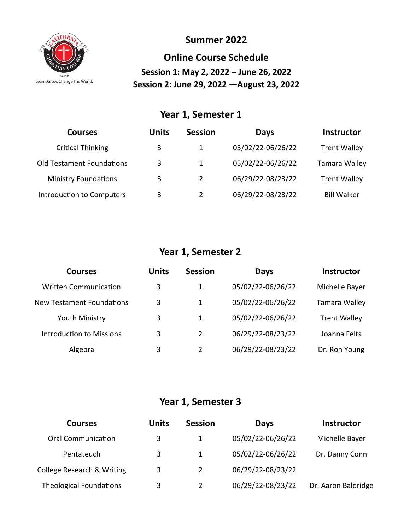

#### **Summer 2022**

**Online Course Schedule Session 1: May 2, 2022 – June 26, 2022 Session 2: June 29, 2022 —August 23, 2022**

#### **Year 1, Semester 1**

| <b>Courses</b>                   | <b>Units</b> | <b>Session</b> | Days              | <b>Instructor</b>    |
|----------------------------------|--------------|----------------|-------------------|----------------------|
| <b>Critical Thinking</b>         | 3            | 1              | 05/02/22-06/26/22 | <b>Trent Walley</b>  |
| <b>Old Testament Foundations</b> | 3            | 1              | 05/02/22-06/26/22 | <b>Tamara Walley</b> |
| <b>Ministry Foundations</b>      | 3            | $\overline{2}$ | 06/29/22-08/23/22 | <b>Trent Walley</b>  |
| <b>Introduction to Computers</b> | 3            | $\mathcal{P}$  | 06/29/22-08/23/22 | <b>Bill Walker</b>   |

## **Year 1, Semester 2**

| <b>Courses</b>                   | <b>Units</b> | <b>Session</b> | <b>Days</b>       | <b>Instructor</b>   |
|----------------------------------|--------------|----------------|-------------------|---------------------|
| <b>Written Communication</b>     | 3            | 1              | 05/02/22-06/26/22 | Michelle Bayer      |
| <b>New Testament Foundations</b> | 3            | 1              | 05/02/22-06/26/22 | Tamara Walley       |
| Youth Ministry                   | 3            | 1              | 05/02/22-06/26/22 | <b>Trent Walley</b> |
| Introduction to Missions         | 3            | 2              | 06/29/22-08/23/22 | Joanna Felts        |
| Algebra                          | 3            | 2              | 06/29/22-08/23/22 | Dr. Ron Young       |

#### **Year 1, Semester 3**

| <b>Courses</b>                 | <b>Units</b> | <b>Session</b> | <b>Days</b>       | <b>Instructor</b>   |
|--------------------------------|--------------|----------------|-------------------|---------------------|
| <b>Oral Communication</b>      | 3            | 1              | 05/02/22-06/26/22 | Michelle Bayer      |
| Pentateuch                     | 3            | 1              | 05/02/22-06/26/22 | Dr. Danny Conn      |
| College Research & Writing     | 3            | 2              | 06/29/22-08/23/22 |                     |
| <b>Theological Foundations</b> | 3            | 2              | 06/29/22-08/23/22 | Dr. Aaron Baldridge |